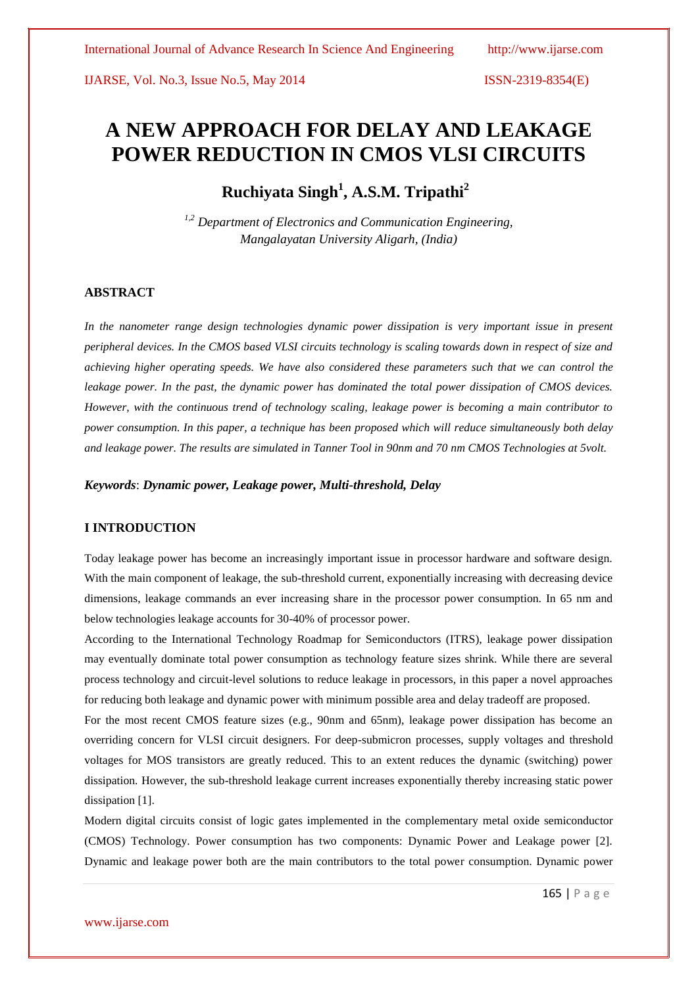# **A NEW APPROACH FOR DELAY AND LEAKAGE POWER REDUCTION IN CMOS VLSI CIRCUITS**

**Ruchiyata Singh<sup>1</sup> , A.S.M. Tripathi<sup>2</sup>**

*1,2 Department of Electronics and Communication Engineering, Mangalayatan University Aligarh, (India)*

### **ABSTRACT**

*In the nanometer range design technologies dynamic power dissipation is very important issue in present peripheral devices. In the CMOS based VLSI circuits technology is scaling towards down in respect of size and achieving higher operating speeds. We have also considered these parameters such that we can control the leakage power. In the past, the dynamic power has dominated the total power dissipation of CMOS devices. However, with the continuous trend of technology scaling, leakage power is becoming a main contributor to power consumption. In this paper, a technique has been proposed which will reduce simultaneously both delay and leakage power. The results are simulated in Tanner Tool in 90nm and 70 nm CMOS Technologies at 5volt.*

*Keywords*: *Dynamic power, Leakage power, Multi-threshold, Delay*

# **I INTRODUCTION**

Today leakage power has become an increasingly important issue in processor hardware and software design. With the main component of leakage, the sub-threshold current, exponentially increasing with decreasing device dimensions, leakage commands an ever increasing share in the processor power consumption. In 65 nm and below technologies leakage accounts for 30-40% of processor power.

According to the International Technology Roadmap for Semiconductors (ITRS), leakage power dissipation may eventually dominate total power consumption as technology feature sizes shrink. While there are several process technology and circuit-level solutions to reduce leakage in processors, in this paper a novel approaches for reducing both leakage and dynamic power with minimum possible area and delay tradeoff are proposed.

For the most recent CMOS feature sizes (e.g., 90nm and 65nm), leakage power dissipation has become an overriding concern for VLSI circuit designers. For deep-submicron processes, supply voltages and threshold voltages for MOS transistors are greatly reduced. This to an extent reduces the dynamic (switching) power dissipation. However, the sub-threshold leakage current increases exponentially thereby increasing static power dissipation [1].

Modern digital circuits consist of logic gates implemented in the complementary metal oxide semiconductor (CMOS) Technology. Power consumption has two components: Dynamic Power and Leakage power [2]. Dynamic and leakage power both are the main contributors to the total power consumption. Dynamic power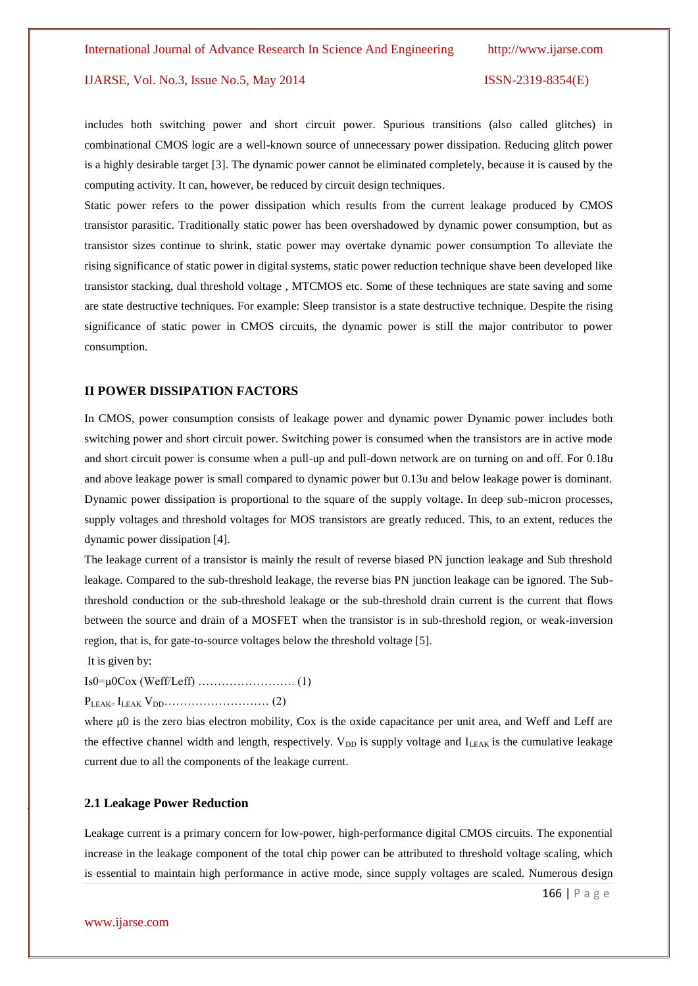includes both switching power and short circuit power. Spurious transitions (also called glitches) in combinational CMOS logic are a well-known source of unnecessary power dissipation. Reducing glitch power is a highly desirable target [3]. The dynamic power cannot be eliminated completely, because it is caused by the computing activity. It can, however, be reduced by circuit design techniques.

Static power refers to the power dissipation which results from the current leakage produced by CMOS transistor parasitic. Traditionally static power has been overshadowed by dynamic power consumption, but as transistor sizes continue to shrink, static power may overtake dynamic power consumption To alleviate the rising significance of static power in digital systems, static power reduction technique shave been developed like transistor stacking, dual threshold voltage , MTCMOS etc. Some of these techniques are state saving and some are state destructive techniques. For example: Sleep transistor is a state destructive technique. Despite the rising significance of static power in CMOS circuits, the dynamic power is still the major contributor to power consumption.

#### **II POWER DISSIPATION FACTORS**

In CMOS, power consumption consists of leakage power and dynamic power Dynamic power includes both switching power and short circuit power. Switching power is consumed when the transistors are in active mode and short circuit power is consume when a pull-up and pull-down network are on turning on and off. For 0.18u and above leakage power is small compared to dynamic power but 0.13u and below leakage power is dominant. Dynamic power dissipation is proportional to the square of the supply voltage. In deep sub-micron processes, supply voltages and threshold voltages for MOS transistors are greatly reduced. This, to an extent, reduces the dynamic power dissipation [4].

The leakage current of a transistor is mainly the result of reverse biased PN junction leakage and Sub threshold leakage. Compared to the sub-threshold leakage, the reverse bias PN junction leakage can be ignored. The Subthreshold conduction or the sub-threshold leakage or the sub-threshold drain current is the current that flows between the source and drain of a MOSFET when the transistor is in sub-threshold region, or weak-inversion region, that is, for gate-to-source voltages below the threshold voltage [5].

It is given by:

Is0=μ0Cox (Weff/Leff) ……………………. (1)

PLEAK= ILEAK VDD……………………… (2)

where μ0 is the zero bias electron mobility, Cox is the oxide capacitance per unit area, and Weff and Leff are the effective channel width and length, respectively.  $V_{DD}$  is supply voltage and  $I_{LEAK}$  is the cumulative leakage current due to all the components of the leakage current.

#### **2.1 Leakage Power Reduction**

Leakage current is a primary concern for low-power, high-performance digital CMOS circuits. The exponential increase in the leakage component of the total chip power can be attributed to threshold voltage scaling, which is essential to maintain high performance in active mode, since supply voltages are scaled. Numerous design

166 | P a g e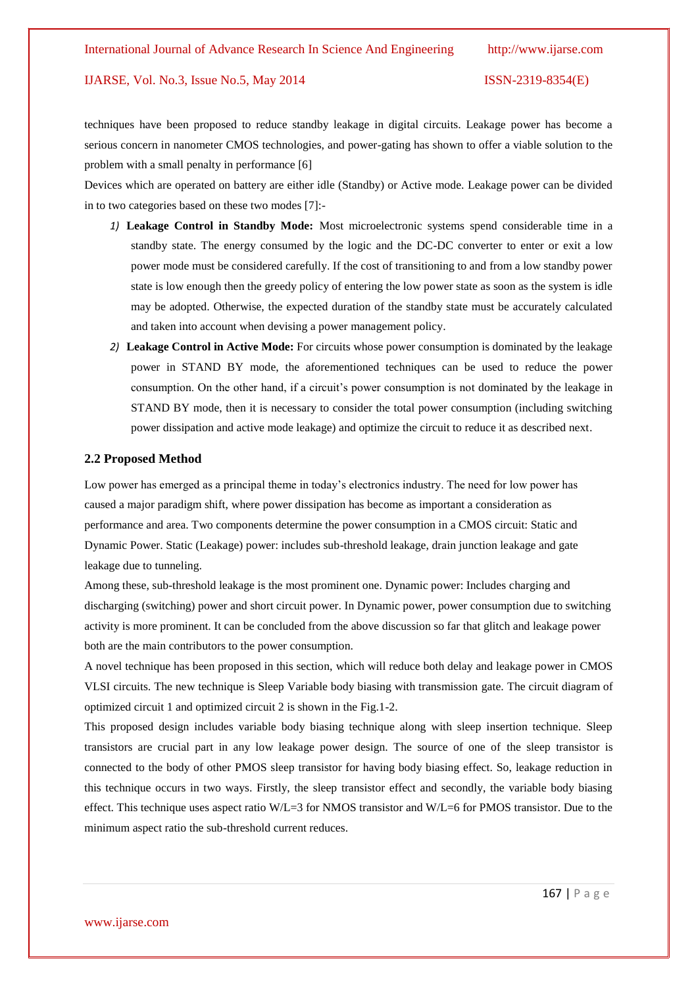techniques have been proposed to reduce standby leakage in digital circuits. Leakage power has become a serious concern in nanometer CMOS technologies, and power-gating has shown to offer a viable solution to the problem with a small penalty in performance [6]

Devices which are operated on battery are either idle (Standby) or Active mode. Leakage power can be divided in to two categories based on these two modes [7]:-

- *1)* **Leakage Control in Standby Mode:** Most microelectronic systems spend considerable time in a standby state. The energy consumed by the logic and the DC-DC converter to enter or exit a low power mode must be considered carefully. If the cost of transitioning to and from a low standby power state is low enough then the greedy policy of entering the low power state as soon as the system is idle may be adopted. Otherwise, the expected duration of the standby state must be accurately calculated and taken into account when devising a power management policy.
- *2)* **Leakage Control in Active Mode:** For circuits whose power consumption is dominated by the leakage power in STAND BY mode, the aforementioned techniques can be used to reduce the power consumption. On the other hand, if a circuit's power consumption is not dominated by the leakage in STAND BY mode, then it is necessary to consider the total power consumption (including switching power dissipation and active mode leakage) and optimize the circuit to reduce it as described next.

#### **2.2 Proposed Method**

Low power has emerged as a principal theme in today's electronics industry. The need for low power has caused a major paradigm shift, where power dissipation has become as important a consideration as performance and area. Two components determine the power consumption in a CMOS circuit: Static and Dynamic Power. Static (Leakage) power: includes sub-threshold leakage, drain junction leakage and gate leakage due to tunneling.

Among these, sub-threshold leakage is the most prominent one. Dynamic power: Includes charging and discharging (switching) power and short circuit power. In Dynamic power, power consumption due to switching activity is more prominent. It can be concluded from the above discussion so far that glitch and leakage power both are the main contributors to the power consumption.

A novel technique has been proposed in this section, which will reduce both delay and leakage power in CMOS VLSI circuits. The new technique is Sleep Variable body biasing with transmission gate. The circuit diagram of optimized circuit 1 and optimized circuit 2 is shown in the Fig.1-2.

This proposed design includes variable body biasing technique along with sleep insertion technique. Sleep transistors are crucial part in any low leakage power design. The source of one of the sleep transistor is connected to the body of other PMOS sleep transistor for having body biasing effect. So, leakage reduction in this technique occurs in two ways. Firstly, the sleep transistor effect and secondly, the variable body biasing effect. This technique uses aspect ratio W/L=3 for NMOS transistor and W/L=6 for PMOS transistor. Due to the minimum aspect ratio the sub-threshold current reduces.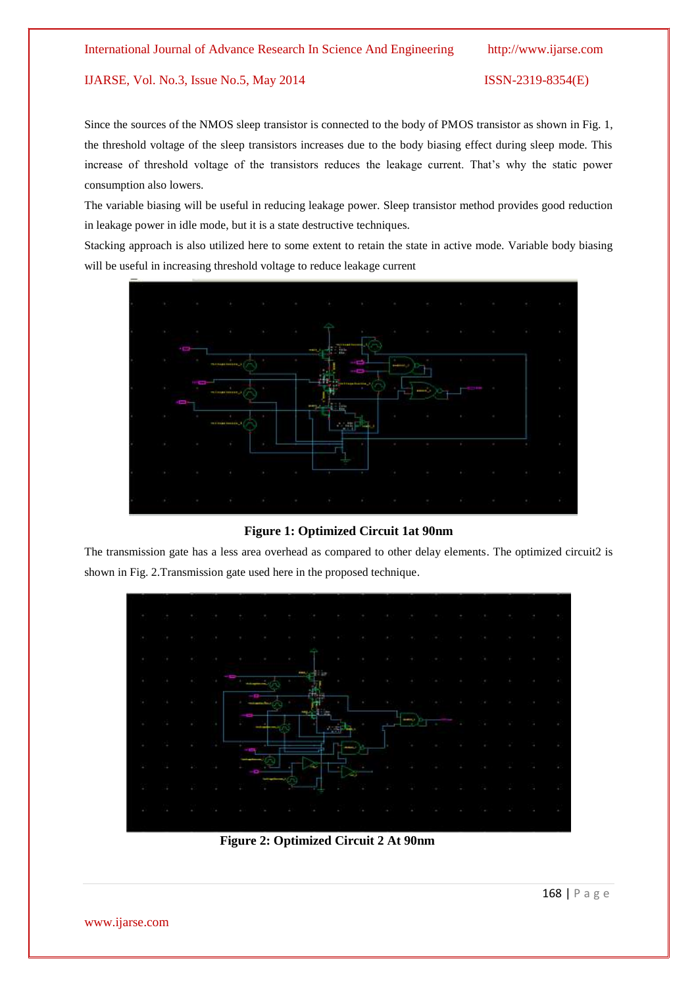Since the sources of the NMOS sleep transistor is connected to the body of PMOS transistor as shown in Fig. 1, the threshold voltage of the sleep transistors increases due to the body biasing effect during sleep mode. This increase of threshold voltage of the transistors reduces the leakage current. That's why the static power consumption also lowers.

The variable biasing will be useful in reducing leakage power. Sleep transistor method provides good reduction in leakage power in idle mode, but it is a state destructive techniques.

Stacking approach is also utilized here to some extent to retain the state in active mode. Variable body biasing will be useful in increasing threshold voltage to reduce leakage current



# **Figure 1: Optimized Circuit 1at 90nm**

The transmission gate has a less area overhead as compared to other delay elements. The optimized circuit2 is shown in Fig. 2.Transmission gate used here in the proposed technique.



 **Figure 2: Optimized Circuit 2 At 90nm**

168 | P a g e

www.ijarse.com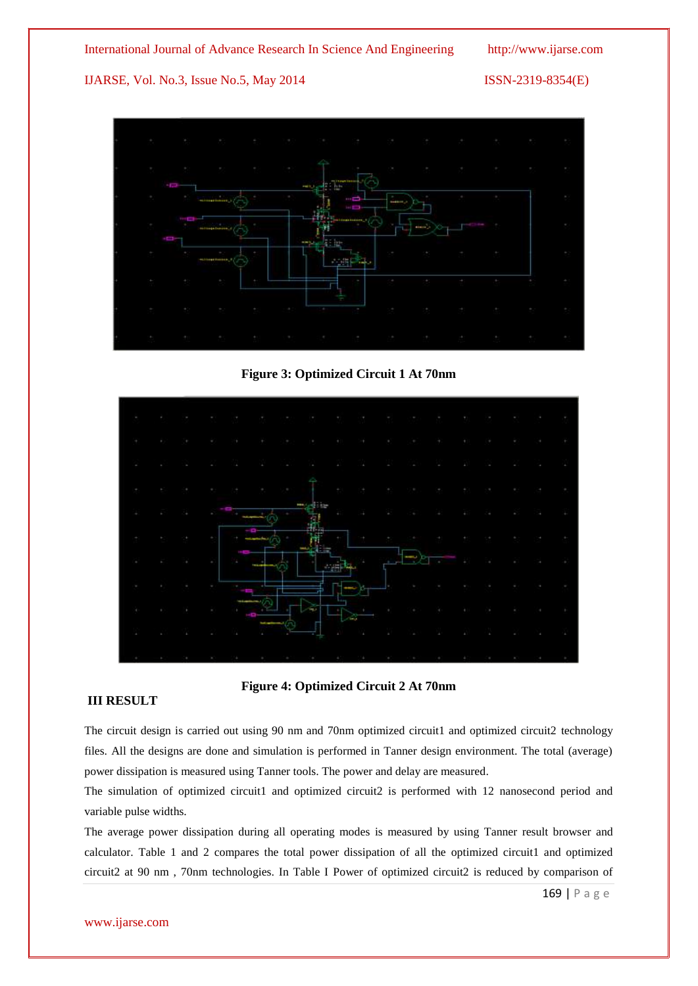International Journal of Advance Research In Science And Engineering http://www.ijarse.com

IJARSE, Vol. No.3, Issue No.5, May 2014 ISSN-2319-8354(E)



**Figure 3: Optimized Circuit 1 At 70nm**



**Figure 4: Optimized Circuit 2 At 70nm**

# **III RESULT**

The circuit design is carried out using 90 nm and 70nm optimized circuit1 and optimized circuit2 technology files. All the designs are done and simulation is performed in Tanner design environment. The total (average) power dissipation is measured using Tanner tools. The power and delay are measured.

The simulation of optimized circuit1 and optimized circuit2 is performed with 12 nanosecond period and variable pulse widths.

The average power dissipation during all operating modes is measured by using Tanner result browser and calculator. Table 1 and 2 compares the total power dissipation of all the optimized circuit1 and optimized circuit2 at 90 nm , 70nm technologies. In Table I Power of optimized circuit2 is reduced by comparison of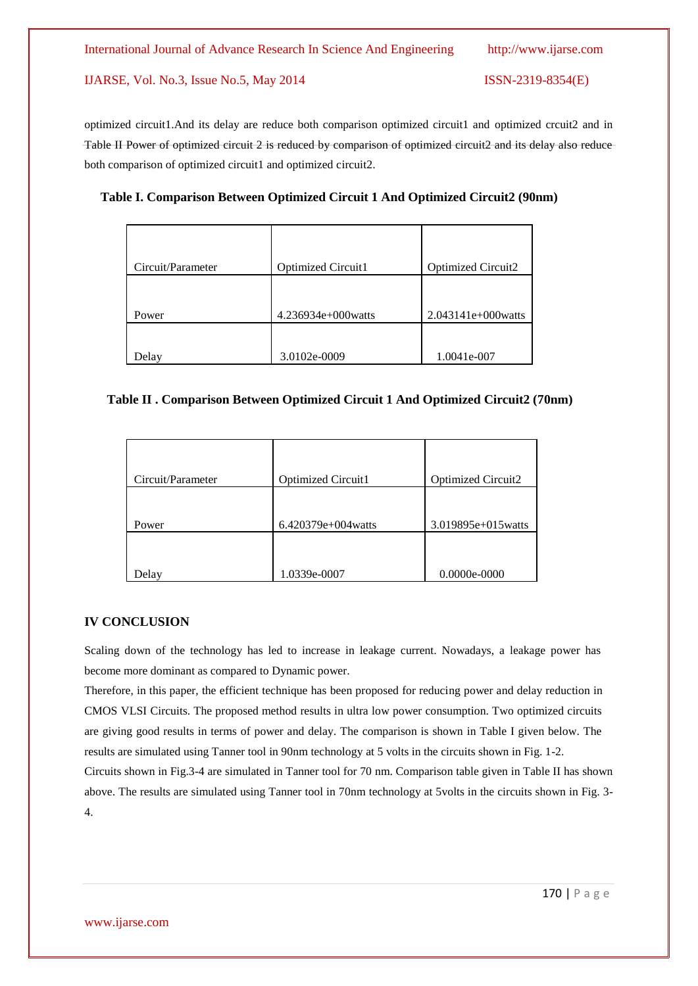both comparison of optimized circuit1 and optimized circuit2.

# **Table I. Comparison Between Optimized Circuit 1 And Optimized Circuit2 (90nm)**

optimized circuit1.And its delay are reduce both comparison optimized circuit1 and optimized crcuit2 and in Table II Power of optimized circuit 2 is reduced by comparison of optimized circuit2 and its delay also reduce

| Circuit/Parameter | Optimized Circuit1 | Optimized Circuit2   |
|-------------------|--------------------|----------------------|
|                   |                    |                      |
| Power             | 4.236934e+000watts | $2.043141e+000watts$ |
|                   |                    |                      |
| Delay             | 3.0102e-0009       | 1.0041e-007          |

#### **Table II . Comparison Between Optimized Circuit 1 And Optimized Circuit2 (70nm)**

| Circuit/Parameter | <b>Optimized Circuit1</b> | <b>Optimized Circuit2</b> |
|-------------------|---------------------------|---------------------------|
|                   |                           |                           |
|                   |                           |                           |
| Power             | $6.420379e+004$ watts     | 3.019895e+015watts        |
|                   |                           |                           |
|                   |                           |                           |
| Delay             | 1.0339e-0007              | $0.0000e - 0000$          |

# **IV CONCLUSION**

Scaling down of the technology has led to increase in leakage current. Nowadays, a leakage power has become more dominant as compared to Dynamic power.

Therefore, in this paper, the efficient technique has been proposed for reducing power and delay reduction in CMOS VLSI Circuits. The proposed method results in ultra low power consumption. Two optimized circuits are giving good results in terms of power and delay. The comparison is shown in Table I given below. The results are simulated using Tanner tool in 90nm technology at 5 volts in the circuits shown in Fig. 1-2. Circuits shown in Fig.3-4 are simulated in Tanner tool for 70 nm. Comparison table given in Table II has shown

above. The results are simulated using Tanner tool in 70nm technology at 5volts in the circuits shown in Fig. 3- 4.